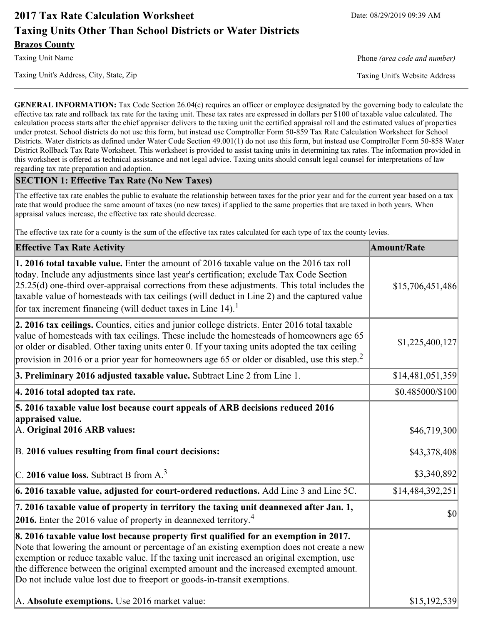# **2017 Tax Rate Calculation Worksheet** Date: 08/29/2019 09:39 AM **Taxing Units Other Than School Districts or Water Districts Brazos County**

Taxing Unit's Address, City, State, Zip Taxing Unit's Website Address

Taxing Unit Name **Phone** *(area code and number)* Phone *(area code and number)* 

**GENERAL INFORMATION:** Tax Code Section 26.04(c) requires an officer or employee designated by the governing body to calculate the effective tax rate and rollback tax rate for the taxing unit. These tax rates are expressed in dollars per \$100 of taxable value calculated. The calculation process starts after the chief appraiser delivers to the taxing unit the certified appraisal roll and the estimated values of properties under protest. School districts do not use this form, but instead use Comptroller Form 50-859 Tax Rate Calculation Worksheet for School Districts. Water districts as defined under Water Code Section 49.001(1) do not use this form, but instead use Comptroller Form 50-858 Water District Rollback Tax Rate Worksheet. This worksheet is provided to assist taxing units in determining tax rates. The information provided in this worksheet is offered as technical assistance and not legal advice. Taxing units should consult legal counsel for interpretations of law regarding tax rate preparation and adoption.

#### **SECTION 1: Effective Tax Rate (No New Taxes)**

The effective tax rate enables the public to evaluate the relationship between taxes for the prior year and for the current year based on a tax rate that would produce the same amount of taxes (no new taxes) if applied to the same properties that are taxed in both years. When appraisal values increase, the effective tax rate should decrease.

The effective tax rate for a county is the sum of the effective tax rates calculated for each type of tax the county levies.

| <b>Effective Tax Rate Activity</b>                                                                                                                                                                                                                                                                                                                                                                                                                                      | <b>Amount/Rate</b> |
|-------------------------------------------------------------------------------------------------------------------------------------------------------------------------------------------------------------------------------------------------------------------------------------------------------------------------------------------------------------------------------------------------------------------------------------------------------------------------|--------------------|
| 1. 2016 total taxable value. Enter the amount of 2016 taxable value on the 2016 tax roll<br>today. Include any adjustments since last year's certification; exclude Tax Code Section<br>$[25.25(d)$ one-third over-appraisal corrections from these adjustments. This total includes the<br>taxable value of homesteads with tax ceilings (will deduct in Line 2) and the captured value<br>for tax increment financing (will deduct taxes in Line $14$ ). <sup>1</sup> | \$15,706,451,486   |
| 2. 2016 tax ceilings. Counties, cities and junior college districts. Enter 2016 total taxable<br>value of homesteads with tax ceilings. These include the homesteads of homeowners age 65<br>or older or disabled. Other taxing units enter 0. If your taxing units adopted the tax ceiling<br>provision in 2016 or a prior year for homeowners age 65 or older or disabled, use this step. <sup>2</sup>                                                                | \$1,225,400,127    |
| 3. Preliminary 2016 adjusted taxable value. Subtract Line 2 from Line 1.                                                                                                                                                                                                                                                                                                                                                                                                | \$14,481,051,359   |
| 4. 2016 total adopted tax rate.                                                                                                                                                                                                                                                                                                                                                                                                                                         | \$0.485000/\$100   |
| 5. 2016 taxable value lost because court appeals of ARB decisions reduced 2016<br>appraised value.<br>A. Original 2016 ARB values:                                                                                                                                                                                                                                                                                                                                      | \$46,719,300       |
| B. 2016 values resulting from final court decisions:                                                                                                                                                                                                                                                                                                                                                                                                                    | \$43,378,408       |
| C. 2016 value loss. Subtract B from $A3$                                                                                                                                                                                                                                                                                                                                                                                                                                | \$3,340,892        |
| $\vert$ 6. 2016 taxable value, adjusted for court-ordered reductions. Add Line 3 and Line 5C.                                                                                                                                                                                                                                                                                                                                                                           | \$14,484,392,251   |
| 7. 2016 taxable value of property in territory the taxing unit deannexed after Jan. 1,<br><b>2016.</b> Enter the 2016 value of property in deannexed territory. <sup>4</sup>                                                                                                                                                                                                                                                                                            | \$0                |
| 8. 2016 taxable value lost because property first qualified for an exemption in 2017.<br>Note that lowering the amount or percentage of an existing exemption does not create a new<br>exemption or reduce taxable value. If the taxing unit increased an original exemption, use<br>the difference between the original exempted amount and the increased exempted amount.<br>Do not include value lost due to freeport or goods-in-transit exemptions.                |                    |
| A. Absolute exemptions. Use 2016 market value:                                                                                                                                                                                                                                                                                                                                                                                                                          | \$15,192,539       |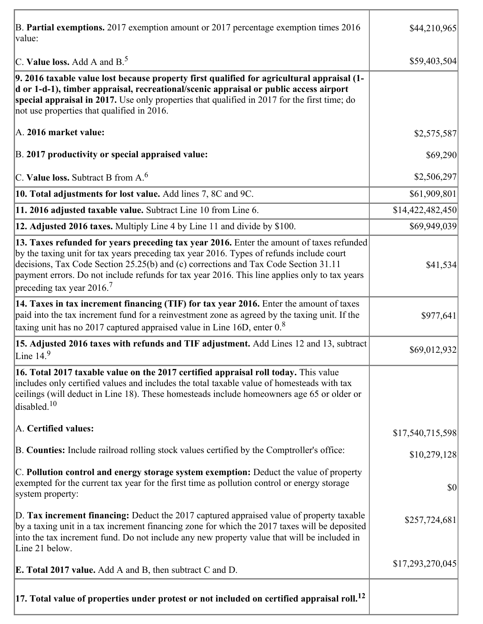| B. Partial exemptions. 2017 exemption amount or 2017 percentage exemption times 2016<br>value:                                                                                                                                                                                                                                                                                                                         | \$44,210,965     |
|------------------------------------------------------------------------------------------------------------------------------------------------------------------------------------------------------------------------------------------------------------------------------------------------------------------------------------------------------------------------------------------------------------------------|------------------|
| C. Value loss. Add A and $B^5$                                                                                                                                                                                                                                                                                                                                                                                         | \$59,403,504     |
| 9. 2016 taxable value lost because property first qualified for agricultural appraisal (1-<br>d or 1-d-1), timber appraisal, recreational/scenic appraisal or public access airport<br>special appraisal in 2017. Use only properties that qualified in 2017 for the first time; do<br>not use properties that qualified in 2016.                                                                                      |                  |
| A. 2016 market value:                                                                                                                                                                                                                                                                                                                                                                                                  | \$2,575,587      |
| B. 2017 productivity or special appraised value:                                                                                                                                                                                                                                                                                                                                                                       | \$69,290         |
| C. Value loss. Subtract B from $A6$                                                                                                                                                                                                                                                                                                                                                                                    | \$2,506,297      |
| 10. Total adjustments for lost value. Add lines 7, 8C and 9C.                                                                                                                                                                                                                                                                                                                                                          | \$61,909,801     |
| 11. 2016 adjusted taxable value. Subtract Line 10 from Line 6.                                                                                                                                                                                                                                                                                                                                                         | \$14,422,482,450 |
| 12. Adjusted 2016 taxes. Multiply Line 4 by Line 11 and divide by \$100.                                                                                                                                                                                                                                                                                                                                               | \$69,949,039     |
| 13. Taxes refunded for years preceding tax year 2016. Enter the amount of taxes refunded<br>by the taxing unit for tax years preceding tax year 2016. Types of refunds include court<br>decisions, Tax Code Section 25.25(b) and (c) corrections and Tax Code Section 31.11<br>payment errors. Do not include refunds for tax year 2016. This line applies only to tax years<br>preceding tax year $2016$ <sup>7</sup> | \$41,534         |
| 14. Taxes in tax increment financing (TIF) for tax year 2016. Enter the amount of taxes                                                                                                                                                                                                                                                                                                                                |                  |
| paid into the tax increment fund for a reinvestment zone as agreed by the taxing unit. If the<br>taxing unit has no 2017 captured appraised value in Line 16D, enter $0.8$                                                                                                                                                                                                                                             | \$977,641        |
| 15. Adjusted 2016 taxes with refunds and TIF adjustment. Add Lines 12 and 13, subtract<br>Line $149$                                                                                                                                                                                                                                                                                                                   | \$69,012,932     |
| 16. Total 2017 taxable value on the 2017 certified appraisal roll today. This value<br>includes only certified values and includes the total taxable value of homesteads with tax<br>ceilings (will deduct in Line 18). These homesteads include homeowners age 65 or older or<br>disabled. <sup>10</sup>                                                                                                              |                  |
| A. Certified values:                                                                                                                                                                                                                                                                                                                                                                                                   | \$17,540,715,598 |
| B. Counties: Include railroad rolling stock values certified by the Comptroller's office:                                                                                                                                                                                                                                                                                                                              | \$10,279,128     |
| C. Pollution control and energy storage system exemption: Deduct the value of property<br>exempted for the current tax year for the first time as pollution control or energy storage<br>system property:                                                                                                                                                                                                              | \$0              |
| D. Tax increment financing: Deduct the 2017 captured appraised value of property taxable<br>by a taxing unit in a tax increment financing zone for which the 2017 taxes will be deposited<br>into the tax increment fund. Do not include any new property value that will be included in<br>Line 21 below.                                                                                                             | \$257,724,681    |
| <b>E. Total 2017 value.</b> Add A and B, then subtract C and D.                                                                                                                                                                                                                                                                                                                                                        | \$17,293,270,045 |
| $ 17$ . Total value of properties under protest or not included on certified appraisal roll. $^{12}$                                                                                                                                                                                                                                                                                                                   |                  |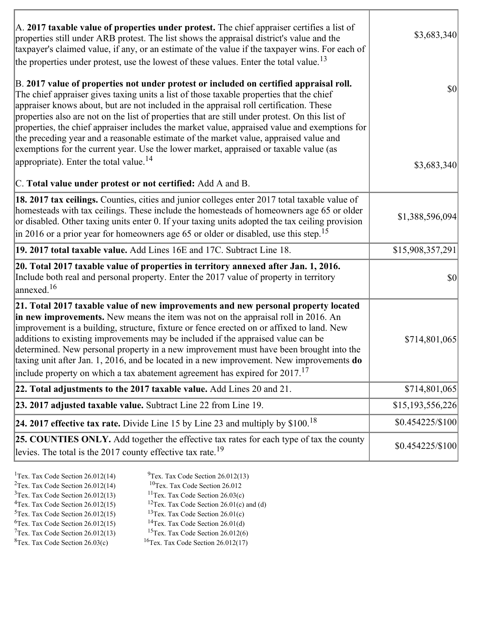| A. 2017 taxable value of properties under protest. The chief appraiser certifies a list of<br>properties still under ARB protest. The list shows the appraisal district's value and the<br>taxpayer's claimed value, if any, or an estimate of the value if the taxpayer wins. For each of<br>the properties under protest, use the lowest of these values. Enter the total value. <sup>13</sup>                                                                                                                                                                                                                                                                                                                         | \$3,683,340      |
|--------------------------------------------------------------------------------------------------------------------------------------------------------------------------------------------------------------------------------------------------------------------------------------------------------------------------------------------------------------------------------------------------------------------------------------------------------------------------------------------------------------------------------------------------------------------------------------------------------------------------------------------------------------------------------------------------------------------------|------------------|
| B. 2017 value of properties not under protest or included on certified appraisal roll.<br>The chief appraiser gives taxing units a list of those taxable properties that the chief<br>appraiser knows about, but are not included in the appraisal roll certification. These<br>properties also are not on the list of properties that are still under protest. On this list of<br>properties, the chief appraiser includes the market value, appraised value and exemptions for<br>the preceding year and a reasonable estimate of the market value, appraised value and<br>exemptions for the current year. Use the lower market, appraised or taxable value (as<br>appropriate). Enter the total value. <sup>14</sup> | $ 10\rangle$     |
| C. Total value under protest or not certified: Add A and B.                                                                                                                                                                                                                                                                                                                                                                                                                                                                                                                                                                                                                                                              | \$3,683,340      |
| 18. 2017 tax ceilings. Counties, cities and junior colleges enter 2017 total taxable value of<br>homesteads with tax ceilings. These include the homesteads of homeowners age 65 or older<br>or disabled. Other taxing units enter 0. If your taxing units adopted the tax ceiling provision<br>$\vert$ in 2016 or a prior year for homeowners age 65 or older or disabled, use this step. <sup>15</sup>                                                                                                                                                                                                                                                                                                                 | \$1,388,596,094  |
| 19. 2017 total taxable value. Add Lines 16E and 17C. Subtract Line 18.                                                                                                                                                                                                                                                                                                                                                                                                                                                                                                                                                                                                                                                   | \$15,908,357,291 |
| 20. Total 2017 taxable value of properties in territory annexed after Jan. 1, 2016.<br>Include both real and personal property. Enter the 2017 value of property in territory<br>$\alpha$ annexed. <sup>16</sup>                                                                                                                                                                                                                                                                                                                                                                                                                                                                                                         | \$0              |
| 21. Total 2017 taxable value of new improvements and new personal property located<br>in new improvements. New means the item was not on the appraisal roll in 2016. An<br>improvement is a building, structure, fixture or fence erected on or affixed to land. New<br>additions to existing improvements may be included if the appraised value can be<br>determined. New personal property in a new improvement must have been brought into the<br>taxing unit after Jan. 1, 2016, and be located in a new improvement. New improvements do<br>include property on which a tax abatement agreement has expired for $2017$ . <sup>17</sup>                                                                             | \$714,801,065    |
| 22. Total adjustments to the 2017 taxable value. Add Lines 20 and 21.                                                                                                                                                                                                                                                                                                                                                                                                                                                                                                                                                                                                                                                    | \$714,801,065    |
| 23. 2017 adjusted taxable value. Subtract Line 22 from Line 19.                                                                                                                                                                                                                                                                                                                                                                                                                                                                                                                                                                                                                                                          | \$15,193,556,226 |
| 24. 2017 effective tax rate. Divide Line 15 by Line 23 and multiply by $$100$ . <sup>18</sup>                                                                                                                                                                                                                                                                                                                                                                                                                                                                                                                                                                                                                            | \$0.454225/\$100 |
| <b>25. COUNTIES ONLY.</b> Add together the effective tax rates for each type of tax the county<br>levies. The total is the 2017 county effective tax rate. <sup>19</sup>                                                                                                                                                                                                                                                                                                                                                                                                                                                                                                                                                 | \$0.454225/\$100 |

٦

| <sup>1</sup> Tex. Tax Code Section $26.012(14)$ | $9$ Tex. Tax Code Section 26.012(13)                 |
|-------------------------------------------------|------------------------------------------------------|
| <sup>2</sup> Tex. Tax Code Section $26.012(14)$ | ${}^{10}$ Tex. Tax Code Section 26.012               |
| $3$ Tex. Tax Code Section 26.012(13)            | <sup>11</sup> Tex. Tax Code Section $26.03(c)$       |
| ${}^{4}$ Tex. Tax Code Section 26.012(15)       | <sup>12</sup> Tex. Tax Code Section 26.01(c) and (d) |
| $5$ Tex. Tax Code Section 26.012(15)            | <sup>13</sup> Tex. Tax Code Section $26.01(c)$       |
| ${}^{6}$ Tex. Tax Code Section 26.012(15)       | <sup>14</sup> Tex. Tax Code Section $26.01(d)$       |
| $7$ Tex. Tax Code Section 26.012(13)            | <sup>15</sup> Tex. Tax Code Section $26.012(6)$      |
|                                                 |                                                      |

 ${}^{8}$ Tex. Tax Code Section 26.03(c)  ${}^{16}$ Tex. Tax Code Section 26.012(17)

r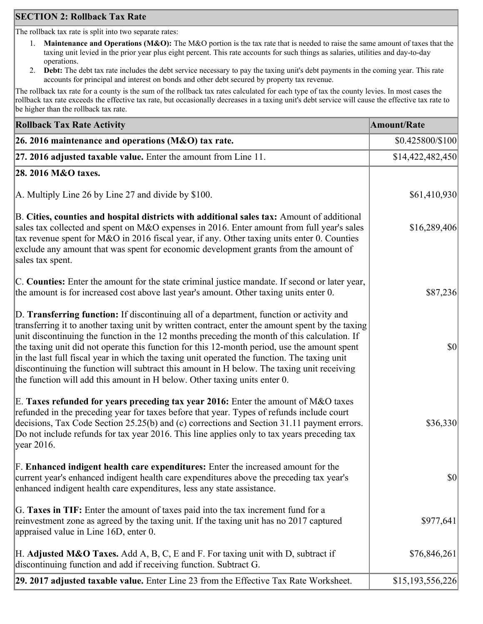# **SECTION 2: Rollback Tax Rate**

The rollback tax rate is split into two separate rates:

- 1. **Maintenance and Operations (M&O):** The M&O portion is the tax rate that is needed to raise the same amount of taxes that the taxing unit levied in the prior year plus eight percent. This rate accounts for such things as salaries, utilities and day-to-day operations.
- 2. **Debt:** The debt tax rate includes the debt service necessary to pay the taxing unit's debt payments in the coming year. This rate accounts for principal and interest on bonds and other debt secured by property tax revenue.

The rollback tax rate for a county is the sum of the rollback tax rates calculated for each type of tax the county levies. In most cases the rollback tax rate exceeds the effective tax rate, but occasionally decreases in a taxing unit's debt service will cause the effective tax rate to be higher than the rollback tax rate.

| <b>Rollback Tax Rate Activity</b>                                                                                                                                                                                                                                                                                                                                                                                                                                                                                                                                                                                                                                       | <b>Amount/Rate</b> |
|-------------------------------------------------------------------------------------------------------------------------------------------------------------------------------------------------------------------------------------------------------------------------------------------------------------------------------------------------------------------------------------------------------------------------------------------------------------------------------------------------------------------------------------------------------------------------------------------------------------------------------------------------------------------------|--------------------|
| 26. 2016 maintenance and operations ( $M&O$ ) tax rate.                                                                                                                                                                                                                                                                                                                                                                                                                                                                                                                                                                                                                 | \$0.425800/\$100   |
| 27. 2016 adjusted taxable value. Enter the amount from Line 11.                                                                                                                                                                                                                                                                                                                                                                                                                                                                                                                                                                                                         | \$14,422,482,450   |
| 28. 2016 M&O taxes.                                                                                                                                                                                                                                                                                                                                                                                                                                                                                                                                                                                                                                                     |                    |
| A. Multiply Line 26 by Line 27 and divide by \$100.                                                                                                                                                                                                                                                                                                                                                                                                                                                                                                                                                                                                                     | \$61,410,930       |
| B. Cities, counties and hospital districts with additional sales tax: Amount of additional<br>sales tax collected and spent on M&O expenses in 2016. Enter amount from full year's sales<br>tax revenue spent for M&O in 2016 fiscal year, if any. Other taxing units enter 0. Counties<br>exclude any amount that was spent for economic development grants from the amount of<br>sales tax spent.                                                                                                                                                                                                                                                                     | \$16,289,406       |
| C. Counties: Enter the amount for the state criminal justice mandate. If second or later year,<br>the amount is for increased cost above last year's amount. Other taxing units enter 0.                                                                                                                                                                                                                                                                                                                                                                                                                                                                                | \$87,236           |
| D. Transferring function: If discontinuing all of a department, function or activity and<br>transferring it to another taxing unit by written contract, enter the amount spent by the taxing<br>unit discontinuing the function in the 12 months preceding the month of this calculation. If<br>the taxing unit did not operate this function for this 12-month period, use the amount spent<br>in the last full fiscal year in which the taxing unit operated the function. The taxing unit<br>discontinuing the function will subtract this amount in H below. The taxing unit receiving<br>the function will add this amount in H below. Other taxing units enter 0. | $ 10\rangle$       |
| E. Taxes refunded for years preceding tax year 2016: Enter the amount of M&O taxes<br>refunded in the preceding year for taxes before that year. Types of refunds include court<br>decisions, Tax Code Section 25.25(b) and (c) corrections and Section 31.11 payment errors.<br>Do not include refunds for tax year 2016. This line applies only to tax years preceding tax<br> year 2016.                                                                                                                                                                                                                                                                             | \$36,330           |
| F. Enhanced indigent health care expenditures: Enter the increased amount for the<br>current year's enhanced indigent health care expenditures above the preceding tax year's<br>enhanced indigent health care expenditures, less any state assistance.                                                                                                                                                                                                                                                                                                                                                                                                                 | $ 10\rangle$       |
| G. Taxes in TIF: Enter the amount of taxes paid into the tax increment fund for a<br>reinvestment zone as agreed by the taxing unit. If the taxing unit has no 2017 captured<br>appraised value in Line 16D, enter 0.                                                                                                                                                                                                                                                                                                                                                                                                                                                   | \$977,641          |
| H. Adjusted M&O Taxes. Add A, B, C, E and F. For taxing unit with D, subtract if<br>discontinuing function and add if receiving function. Subtract G.                                                                                                                                                                                                                                                                                                                                                                                                                                                                                                                   | \$76,846,261       |
| 29. 2017 adjusted taxable value. Enter Line 23 from the Effective Tax Rate Worksheet.                                                                                                                                                                                                                                                                                                                                                                                                                                                                                                                                                                                   | \$15,193,556,226   |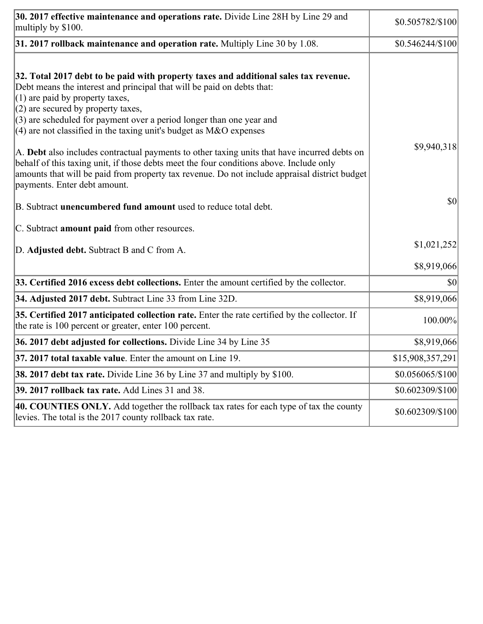| 30. 2017 effective maintenance and operations rate. Divide Line 28H by Line 29 and<br>multiply by \$100.                                                                                                                                                                                                                                                                                      | \$0.505782/\$100 |
|-----------------------------------------------------------------------------------------------------------------------------------------------------------------------------------------------------------------------------------------------------------------------------------------------------------------------------------------------------------------------------------------------|------------------|
| 31. 2017 rollback maintenance and operation rate. Multiply Line 30 by 1.08.                                                                                                                                                                                                                                                                                                                   | \$0.546244/\$100 |
| 32. Total 2017 debt to be paid with property taxes and additional sales tax revenue.<br>Debt means the interest and principal that will be paid on debts that:<br>$(1)$ are paid by property taxes,<br>$(2)$ are secured by property taxes,<br>$(3)$ are scheduled for payment over a period longer than one year and<br>(4) are not classified in the taxing unit's budget as $M&O$ expenses |                  |
| A. Debt also includes contractual payments to other taxing units that have incurred debts on<br>behalf of this taxing unit, if those debts meet the four conditions above. Include only<br>amounts that will be paid from property tax revenue. Do not include appraisal district budget<br>payments. Enter debt amount.                                                                      | \$9,940,318      |
| B. Subtract unencumbered fund amount used to reduce total debt.                                                                                                                                                                                                                                                                                                                               | \$0              |
| C. Subtract amount paid from other resources.                                                                                                                                                                                                                                                                                                                                                 |                  |
| D. Adjusted debt. Subtract B and C from A.                                                                                                                                                                                                                                                                                                                                                    | \$1,021,252      |
|                                                                                                                                                                                                                                                                                                                                                                                               | \$8,919,066      |
| 33. Certified 2016 excess debt collections. Enter the amount certified by the collector.                                                                                                                                                                                                                                                                                                      | \$0              |
| 34. Adjusted 2017 debt. Subtract Line 33 from Line 32D.                                                                                                                                                                                                                                                                                                                                       | \$8,919,066      |
| 35. Certified 2017 anticipated collection rate. Enter the rate certified by the collector. If<br>the rate is 100 percent or greater, enter 100 percent.                                                                                                                                                                                                                                       | 100.00%          |
| 36. 2017 debt adjusted for collections. Divide Line 34 by Line 35                                                                                                                                                                                                                                                                                                                             | \$8,919,066      |
| <b>37. 2017 total taxable value.</b> Enter the amount on Line 19.                                                                                                                                                                                                                                                                                                                             | \$15,908,357,291 |
| <b>38. 2017 debt tax rate.</b> Divide Line 36 by Line 37 and multiply by \$100.                                                                                                                                                                                                                                                                                                               | \$0.056065/\$100 |
| 39. 2017 rollback tax rate. Add Lines 31 and 38.                                                                                                                                                                                                                                                                                                                                              | \$0.602309/\$100 |
| 40. COUNTIES ONLY. Add together the rollback tax rates for each type of tax the county<br>levies. The total is the 2017 county rollback tax rate.                                                                                                                                                                                                                                             | \$0.602309/\$100 |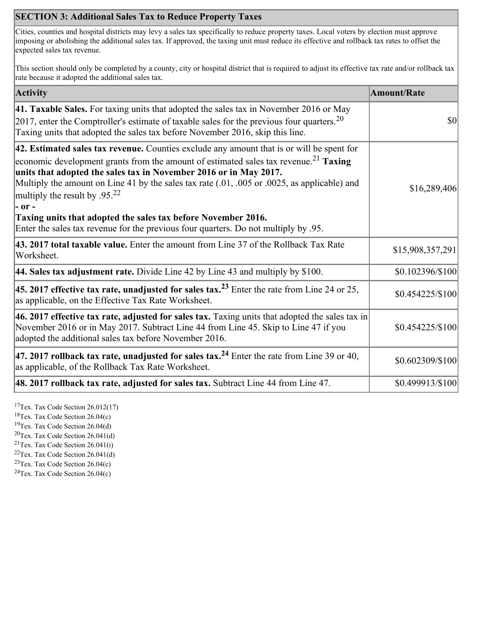# **SECTION 3: Additional Sales Tax to Reduce Property Taxes**

Cities, counties and hospital districts may levy a sales tax specifically to reduce property taxes. Local voters by election must approve imposing or abolishing the additional sales tax. If approved, the taxing unit must reduce its effective and rollback tax rates to offset the expected sales tax revenue.

This section should only be completed by a county, city or hospital district that is required to adjust its effective tax rate and/or rollback tax rate because it adopted the additional sales tax.

| <b>Activity</b>                                                                                                                                                                                                                                                                                                                                                                                                            | <b>Amount/Rate</b> |
|----------------------------------------------------------------------------------------------------------------------------------------------------------------------------------------------------------------------------------------------------------------------------------------------------------------------------------------------------------------------------------------------------------------------------|--------------------|
| 41. Taxable Sales. For taxing units that adopted the sales tax in November 2016 or May<br>[2017, enter the Comptroller's estimate of taxable sales for the previous four quarters. <sup>20</sup><br>Taxing units that adopted the sales tax before November 2016, skip this line.                                                                                                                                          | \$0                |
| 42. Estimated sales tax revenue. Counties exclude any amount that is or will be spent for<br>economic development grants from the amount of estimated sales tax revenue. <sup>21</sup> Taxing<br>units that adopted the sales tax in November 2016 or in May 2017.<br>Multiply the amount on Line 41 by the sales tax rate (.01, .005 or .0025, as applicable) and<br>multiply the result by .95. <sup>22</sup><br> - or - | \$16,289,406       |
| Taxing units that adopted the sales tax before November 2016.<br>Enter the sales tax revenue for the previous four quarters. Do not multiply by .95.                                                                                                                                                                                                                                                                       |                    |
| 43. 2017 total taxable value. Enter the amount from Line 37 of the Rollback Tax Rate<br>Worksheet.                                                                                                                                                                                                                                                                                                                         | \$15,908,357,291   |
| <b>44. Sales tax adjustment rate.</b> Divide Line 42 by Line 43 and multiply by $$100$ .                                                                                                                                                                                                                                                                                                                                   | \$0.102396/\$100   |
| 45. 2017 effective tax rate, unadjusted for sales tax. <sup>23</sup> Enter the rate from Line 24 or 25,<br>as applicable, on the Effective Tax Rate Worksheet.                                                                                                                                                                                                                                                             | \$0.454225/\$100   |
| 46. 2017 effective tax rate, adjusted for sales tax. Taxing units that adopted the sales tax in<br>November 2016 or in May 2017. Subtract Line 44 from Line 45. Skip to Line 47 if you<br>adopted the additional sales tax before November 2016.                                                                                                                                                                           | \$0.454225/\$100   |
| 47. 2017 rollback tax rate, unadjusted for sales tax. <sup>24</sup> Enter the rate from Line 39 or 40,<br>as applicable, of the Rollback Tax Rate Worksheet.                                                                                                                                                                                                                                                               | \$0.602309/\$100   |
| $ 48.2017$ rollback tax rate, adjusted for sales tax. Subtract Line 44 from Line 47.                                                                                                                                                                                                                                                                                                                                       | \$0.499913/\$100   |

<sup>17</sup>Tex. Tax Code Section  $26.012(17)$ 

<sup>18</sup>Tex. Tax Code Section 26.04(c)

<sup>19</sup>Tex. Tax Code Section 26.04(d)

 ${}^{20}$ Tex. Tax Code Section 26.041(d)

<sup>21</sup>Tex. Tax Code Section  $26.041(i)$ 

 $22$ Tex. Tax Code Section 26.041(d) <sup>23</sup>Tex. Tax Code Section 26.04(c)

 $24$ Tex. Tax Code Section 26.04(c)